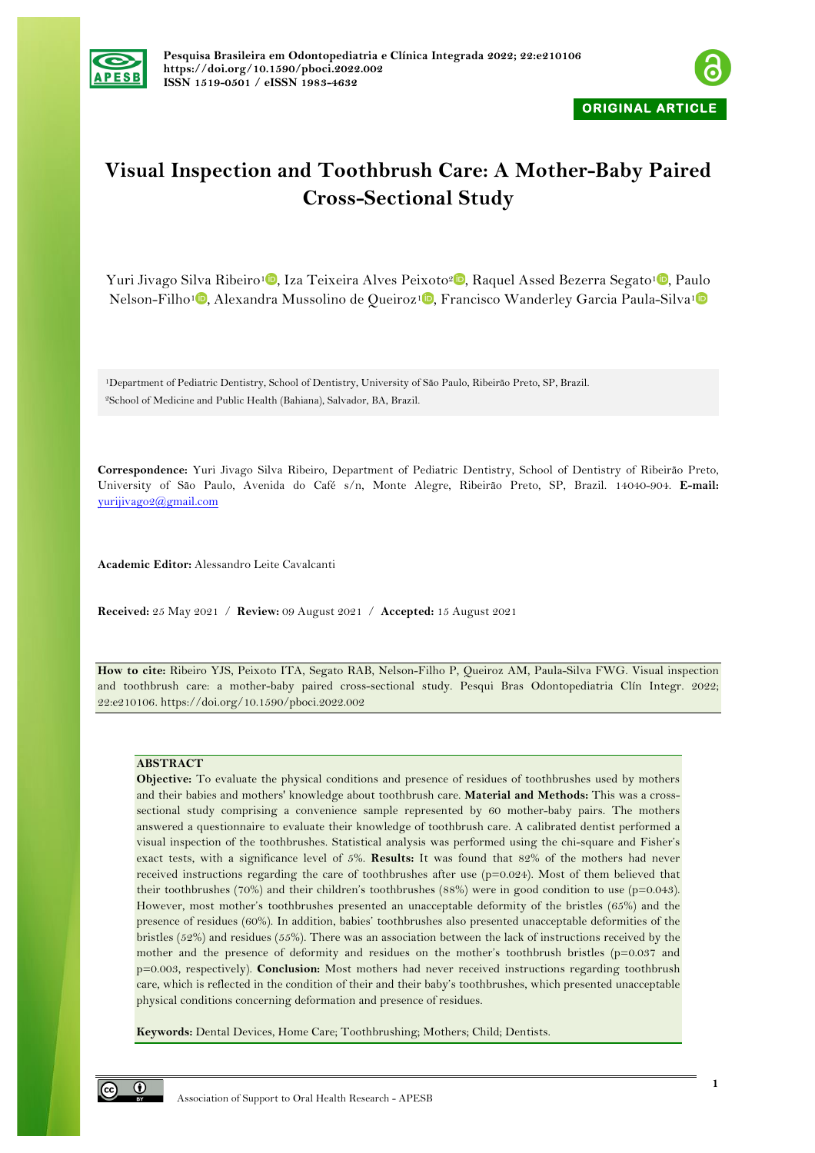



# **Visual Inspection and Toothbrush Care: A Mother-Baby Paired Cross-Sectional Study**

Yuri Jivago Silva Ribeiro<sup>1</sup><sup>0</sup>[,](https://orcid.org/0000-0002-8072-5938) Iza Teixeira Alves Peixoto<sup>2</sup><sup>0</sup>, Raquel Assed Bezerra Segato<sup>[1](https://orcid.org/0000-0002-1935-7451)</sup><sup>0</sup>, Paulo Nelson-Filho<sup>1</sup> [,](https://orcid.org/0000-0003-2900-5000) Alexandra Mussolino de Queiroz<sup>1</sup> , Francisco Wanderley Garcia Paula-Silva<sup>1</sup>

1Department of Pediatric Dentistry, School of Dentistry, University of São Paulo, Ribeirão Preto, SP, Brazil. 2School of Medicine and Public Health (Bahiana), Salvador, BA, Brazil.

**Correspondence:** Yuri Jivago Silva Ribeiro, Department of Pediatric Dentistry, School of Dentistry of Ribeirão Preto, University of São Paulo, Avenida do Café s/n, Monte Alegre, Ribeirão Preto, SP, Brazil. 14040-904. **E-mail:** yurijivago2@gmail.com

**Academic Editor:** Alessandro Leite Cavalcanti

**Received:** 25 May 2021 / **Review:** 09 August 2021 / **Accepted:** 15 August 2021

**How to cite:** Ribeiro YJS, Peixoto ITA, Segato RAB, Nelson-Filho P, Queiroz AM, Paula-Silva FWG. Visual inspection and toothbrush care: a mother-baby paired cross-sectional study. Pesqui Bras Odontopediatria Clín Integr. 2022; 22:e210106. https://doi.org/10.1590/pboci.2022.002

## **ABSTRACT**

**Objective:** To evaluate the physical conditions and presence of residues of toothbrushes used by mothers and their babies and mothers' knowledge about toothbrush care. **Material and Methods:** This was a crosssectional study comprising a convenience sample represented by 60 mother-baby pairs. The mothers answered a questionnaire to evaluate their knowledge of toothbrush care. A calibrated dentist performed a visual inspection of the toothbrushes. Statistical analysis was performed using the chi-square and Fisher's exact tests, with a significance level of 5%. **Results:** It was found that 82% of the mothers had never received instructions regarding the care of toothbrushes after use (p=0.024). Most of them believed that their toothbrushes (70%) and their children's toothbrushes (88%) were in good condition to use (p=0.043). However, most mother's toothbrushes presented an unacceptable deformity of the bristles (65%) and the presence of residues (60%). In addition, babies' toothbrushes also presented unacceptable deformities of the bristles (52%) and residues (55%). There was an association between the lack of instructions received by the mother and the presence of deformity and residues on the mother's toothbrush bristles (p=0.037 and p=0.003, respectively). **Conclusion:** Most mothers had never received instructions regarding toothbrush care, which is reflected in the condition of their and their baby's toothbrushes, which presented unacceptable physical conditions concerning deformation and presence of residues.

**Keywords:** Dental Devices, Home Care; Toothbrushing; Mothers; Child; Dentists.

 $\odot$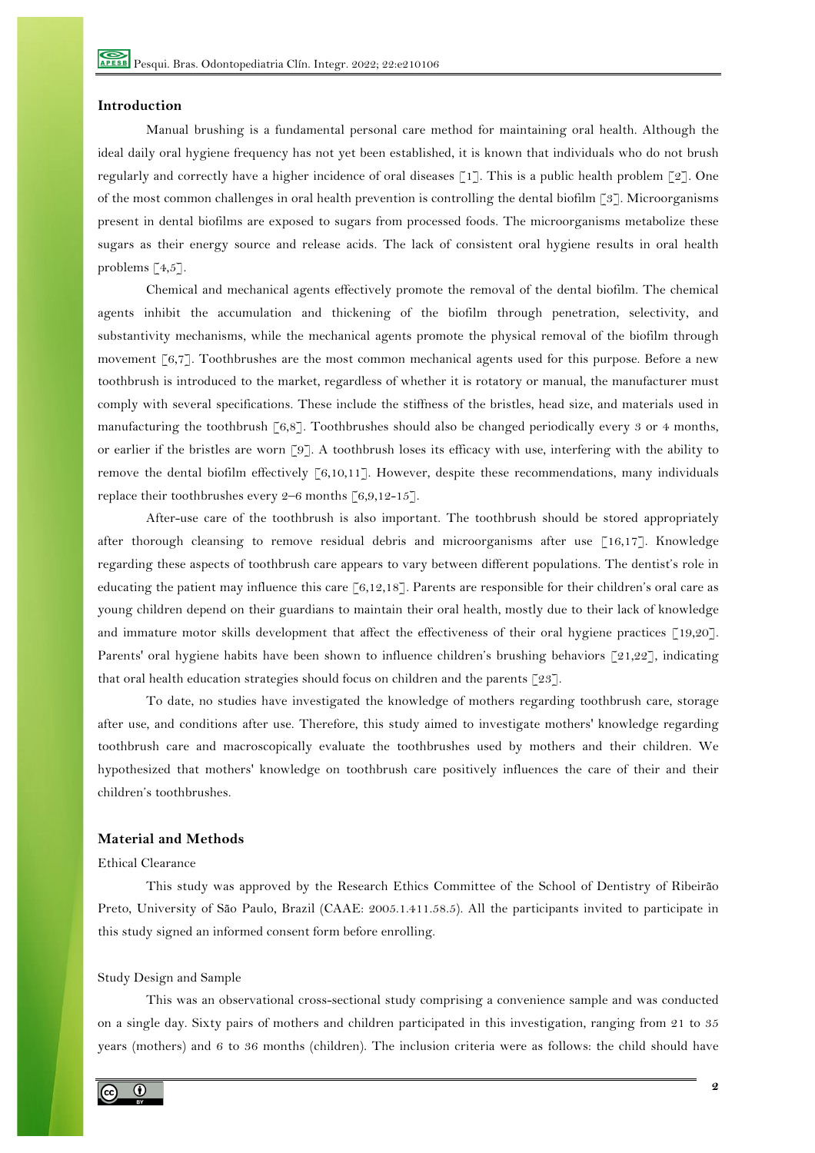#### **Introduction**

Manual brushing is a fundamental personal care method for maintaining oral health. Although the ideal daily oral hygiene frequency has not yet been established, it is known that individuals who do not brush regularly and correctly have a higher incidence of oral diseases [1]. This is a public health problem [2]. One of the most common challenges in oral health prevention is controlling the dental biofilm [3]. Microorganisms present in dental biofilms are exposed to sugars from processed foods. The microorganisms metabolize these sugars as their energy source and release acids. The lack of consistent oral hygiene results in oral health problems [4,5].

Chemical and mechanical agents effectively promote the removal of the dental biofilm. The chemical agents inhibit the accumulation and thickening of the biofilm through penetration, selectivity, and substantivity mechanisms, while the mechanical agents promote the physical removal of the biofilm through movement [6,7]. Toothbrushes are the most common mechanical agents used for this purpose. Before a new toothbrush is introduced to the market, regardless of whether it is rotatory or manual, the manufacturer must comply with several specifications. These include the stiffness of the bristles, head size, and materials used in manufacturing the toothbrush  $\lceil 6,8 \rceil$ . Toothbrushes should also be changed periodically every 3 or 4 months, or earlier if the bristles are worn [9]. A toothbrush loses its efficacy with use, interfering with the ability to remove the dental biofilm effectively  $\lceil 6, 10, 11 \rceil$ . However, despite these recommendations, many individuals replace their toothbrushes every  $2-6$  months  $\lceil 6,9,12-15 \rceil$ .

After-use care of the toothbrush is also important. The toothbrush should be stored appropriately after thorough cleansing to remove residual debris and microorganisms after use [16,17]. Knowledge regarding these aspects of toothbrush care appears to vary between different populations. The dentist's role in educating the patient may influence this care [6,12,18]. Parents are responsible for their children's oral care as young children depend on their guardians to maintain their oral health, mostly due to their lack of knowledge and immature motor skills development that affect the effectiveness of their oral hygiene practices [19,20]. Parents' oral hygiene habits have been shown to influence children's brushing behaviors  $\lceil 21,22 \rceil$ , indicating that oral health education strategies should focus on children and the parents  $\lceil 23 \rceil$ .

To date, no studies have investigated the knowledge of mothers regarding toothbrush care, storage after use, and conditions after use. Therefore, this study aimed to investigate mothers' knowledge regarding toothbrush care and macroscopically evaluate the toothbrushes used by mothers and their children. We hypothesized that mothers' knowledge on toothbrush care positively influences the care of their and their children's toothbrushes.

## **Material and Methods**

## Ethical Clearance

This study was approved by the Research Ethics Committee of the School of Dentistry of Ribeirão Preto, University of São Paulo, Brazil (CAAE: 2005.1.411.58.5). All the participants invited to participate in this study signed an informed consent form before enrolling.

#### Study Design and Sample

This was an observational cross-sectional study comprising a convenience sample and was conducted on a single day. Sixty pairs of mothers and children participated in this investigation, ranging from 21 to 35 years (mothers) and 6 to 36 months (children). The inclusion criteria were as follows: the child should have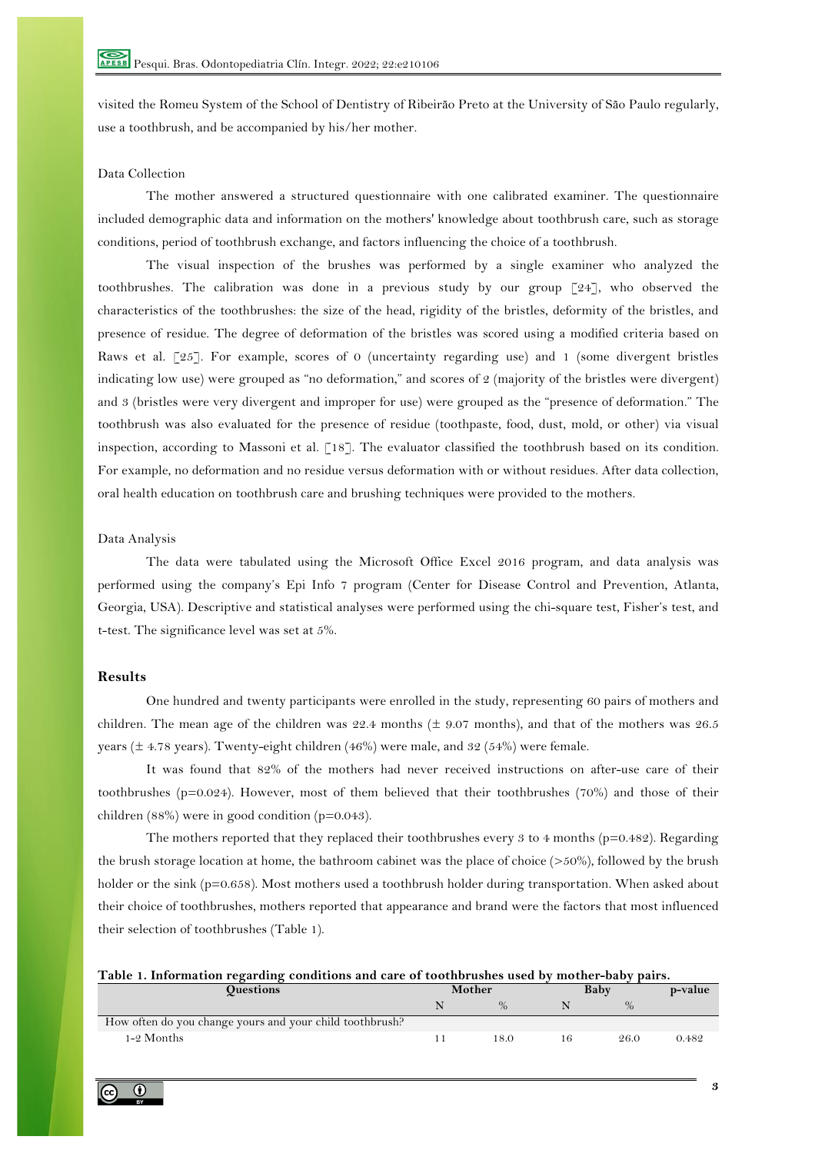visited the Romeu System of the School of Dentistry of Ribeirão Preto at the University of São Paulo regularly, use a toothbrush, and be accompanied by his/her mother.

## Data Collection

The mother answered a structured questionnaire with one calibrated examiner. The questionnaire included demographic data and information on the mothers' knowledge about toothbrush care, such as storage conditions, period of toothbrush exchange, and factors influencing the choice of a toothbrush.

The visual inspection of the brushes was performed by a single examiner who analyzed the toothbrushes. The calibration was done in a previous study by our group [24], who observed the characteristics of the toothbrushes: the size of the head, rigidity of the bristles, deformity of the bristles, and presence of residue. The degree of deformation of the bristles was scored using a modified criteria based on Raws et al. [25]. For example, scores of 0 (uncertainty regarding use) and 1 (some divergent bristles indicating low use) were grouped as "no deformation," and scores of 2 (majority of the bristles were divergent) and 3 (bristles were very divergent and improper for use) were grouped as the "presence of deformation." The toothbrush was also evaluated for the presence of residue (toothpaste, food, dust, mold, or other) via visual inspection, according to Massoni et al. [18]. The evaluator classified the toothbrush based on its condition. For example, no deformation and no residue versus deformation with or without residues. After data collection, oral health education on toothbrush care and brushing techniques were provided to the mothers.

## Data Analysis

The data were tabulated using the Microsoft Office Excel 2016 program, and data analysis was performed using the company's Epi Info 7 program (Center for Disease Control and Prevention, Atlanta, Georgia, USA). Descriptive and statistical analyses were performed using the chi-square test, Fisher's test, and t-test. The significance level was set at 5%.

#### **Results**

One hundred and twenty participants were enrolled in the study, representing 60 pairs of mothers and children. The mean age of the children was 22.4 months ( $\pm$  9.07 months), and that of the mothers was 26.5 years ( $\pm$  4.78 years). Twenty-eight children (46%) were male, and 32 (54%) were female.

It was found that 82% of the mothers had never received instructions on after-use care of their toothbrushes (p=0.024). However, most of them believed that their toothbrushes (70%) and those of their children (88%) were in good condition (p=0.043).

The mothers reported that they replaced their toothbrushes every 3 to 4 months ( $p=0.482$ ). Regarding the brush storage location at home, the bathroom cabinet was the place of choice (>50%), followed by the brush holder or the sink (p=0.658). Most mothers used a toothbrush holder during transportation. When asked about their choice of toothbrushes, mothers reported that appearance and brand were the factors that most influenced their selection of toothbrushes (Table 1).

|  | Table 1. Information regarding conditions and care of toothbrushes used by mother-baby pairs. |  |  |  |
|--|-----------------------------------------------------------------------------------------------|--|--|--|
|  |                                                                                               |  |  |  |

| <b>Ouestions</b>                                         |  | Mother |  | Baby |       |
|----------------------------------------------------------|--|--------|--|------|-------|
|                                                          |  | 0/2    |  | $\%$ |       |
| How often do you change yours and your child toothbrush? |  |        |  |      |       |
| 1-2 Months                                               |  | 18.0   |  | 26.0 | 0.482 |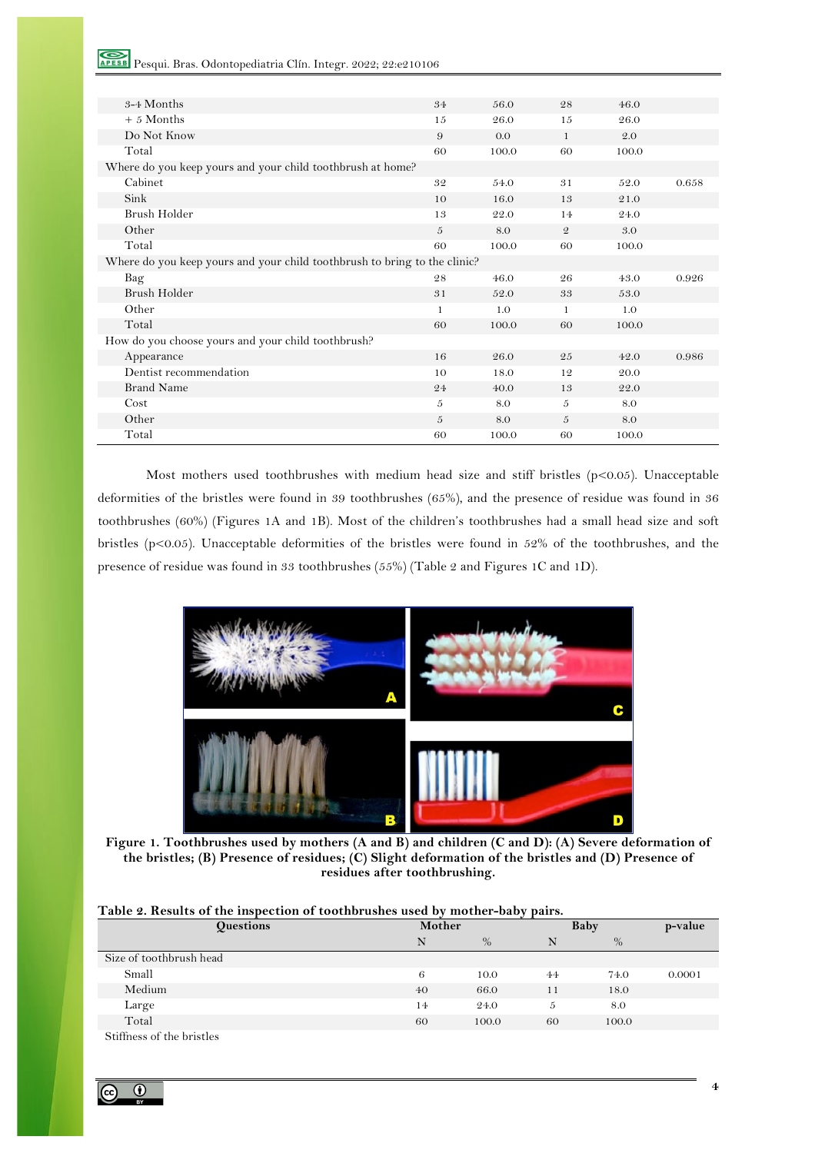| 3-4 Months                                                                | 34           | 56.0  | 28             | 46.0    |       |
|---------------------------------------------------------------------------|--------------|-------|----------------|---------|-------|
| $+ 5$ Months                                                              | 15           | 26.0  | 15             | 26.0    |       |
| Do Not Know                                                               | 9            | 0.0   | $\mathbf{1}$   | $2.0\,$ |       |
| Total                                                                     | 60           | 100.0 | 60             | 100.0   |       |
| Where do you keep yours and your child toothbrush at home?                |              |       |                |         |       |
| Cabinet                                                                   | 32           | 54.0  | 31             | 52.0    | 0.658 |
| Sink                                                                      | 10           | 16.0  | 13             | 21.0    |       |
| Brush Holder                                                              | 13           | 22.0  | 14             | 24.0    |       |
| Other                                                                     | 5            | 8.0   | $\mathfrak{D}$ | 3.0     |       |
| Total                                                                     | 60           | 100.0 | 60             | 100.0   |       |
| Where do you keep yours and your child toothbrush to bring to the clinic? |              |       |                |         |       |
| Bag                                                                       | 28           | 46.0  | 26             | 43.0    | 0.926 |
| Brush Holder                                                              | 31           | 52.0  | 33             | 53.0    |       |
| Other                                                                     | $\mathbf{1}$ | 1.0   | $\mathbf{1}$   | 1.0     |       |
| Total                                                                     | 60           | 100.0 | 60             | 100.0   |       |
| How do you choose yours and your child toothbrush?                        |              |       |                |         |       |
| Appearance                                                                | 16           | 26.0  | 25             | 42.0    | 0.986 |
| Dentist recommendation                                                    | 10           | 18.0  | 12             | 20.0    |       |
| <b>Brand Name</b>                                                         | 24           | 40.0  | 13             | 22.0    |       |
| Cost                                                                      | 5            | 8.0   | 5              | 8.0     |       |
| Other                                                                     | 5            | 8.0   | 5              | 8.0     |       |
| Total                                                                     | 60           | 100.0 | 60             | 100.0   |       |

Most mothers used toothbrushes with medium head size and stiff bristles ( $p<0.05$ ). Unacceptable deformities of the bristles were found in 39 toothbrushes (65%), and the presence of residue was found in 36 toothbrushes (60%) (Figures 1A and 1B). Most of the children's toothbrushes had a small head size and soft bristles (p<0.05). Unacceptable deformities of the bristles were found in 52% of the toothbrushes, and the presence of residue was found in 33 toothbrushes (55%) (Table 2 and Figures 1C and 1D).



**Figure 1. Toothbrushes used by mothers (A and B) and children (C and D): (A) Severe deformation of the bristles; (B) Presence of residues; (C) Slight deformation of the bristles and (D) Presence of residues after toothbrushing.**

| Table 2. Results of the inspection of toothbrushes used by mother-baby pairs. |  |  |  |  |
|-------------------------------------------------------------------------------|--|--|--|--|
|                                                                               |  |  |  |  |

| <b>Questions</b>          | $\cdot$<br>Mother |       | $\sim$ 1<br>Baby |       | p-value |  |
|---------------------------|-------------------|-------|------------------|-------|---------|--|
|                           | N                 | $\%$  | N                | $\%$  |         |  |
| Size of toothbrush head   |                   |       |                  |       |         |  |
| Small                     | 6                 | 10.0  | 44               | 74.0  | 0.0001  |  |
| Medium                    | 40                | 66.0  | 11               | 18.0  |         |  |
| Large                     | 14                | 24.0  | 5                | 8.0   |         |  |
| Total                     | 60                | 100.0 | 60               | 100.0 |         |  |
| Stiffness of the bristles |                   |       |                  |       |         |  |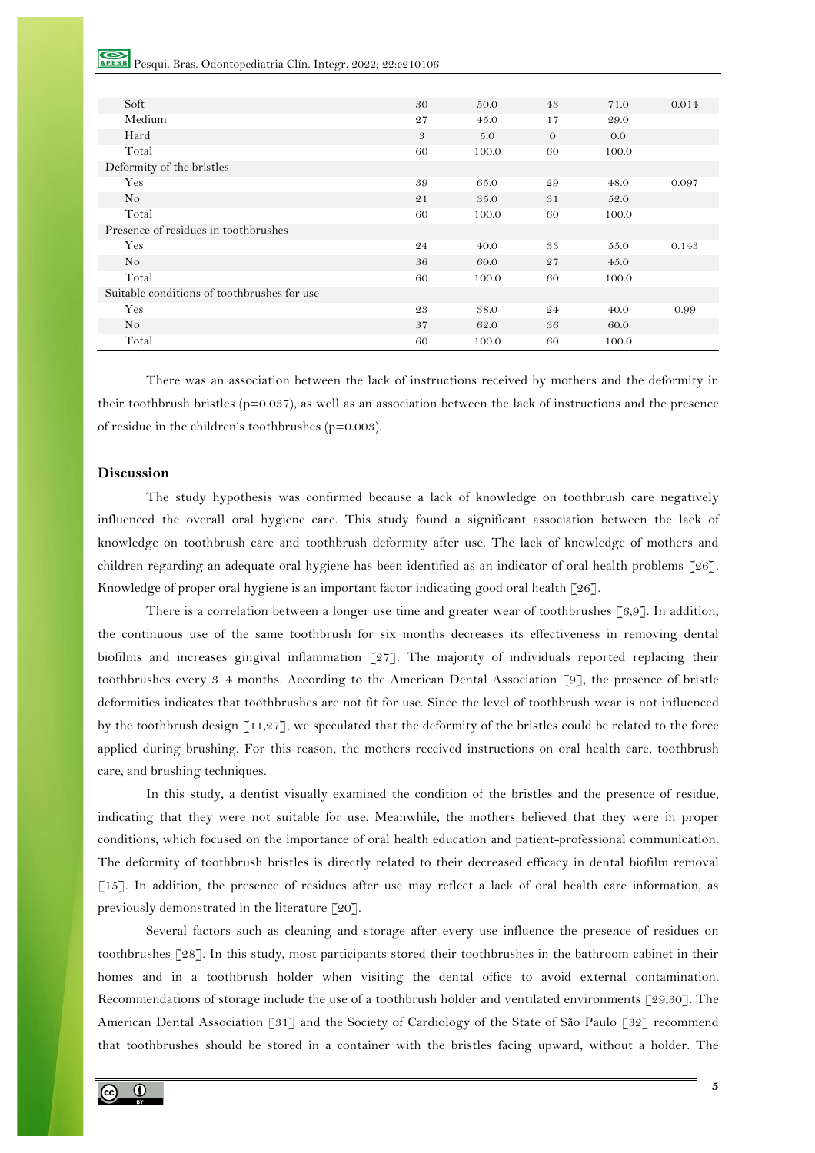RESE Pesqui. Bras. Odontopediatria Clín. Integr. 2022; 22:e210106

| Soft                                        | 30 | 50.0  | 43       | 71.0  | 0.014 |
|---------------------------------------------|----|-------|----------|-------|-------|
| Medium                                      | 27 | 45.0  | 17       | 29.0  |       |
| Hard                                        | 3  | 5.0   | $\theta$ | 0.0   |       |
| Total                                       | 60 | 100.0 | 60       | 100.0 |       |
| Deformity of the bristles                   |    |       |          |       |       |
| Yes                                         | 39 | 65.0  | 29       | 48.0  | 0.097 |
| No                                          | 21 | 35.0  | 31       | 52.0  |       |
| Total                                       | 60 | 100.0 | 60       | 100.0 |       |
| Presence of residues in toothbrushes        |    |       |          |       |       |
| Yes                                         | 24 | 40.0  | 33       | 55.0  | 0.143 |
| N <sub>o</sub>                              | 36 | 60.0  | 27       | 45.0  |       |
| Total                                       | 60 | 100.0 | 60       | 100.0 |       |
| Suitable conditions of toothbrushes for use |    |       |          |       |       |
| Yes                                         | 23 | 38.0  | 24       | 40.0  | 0.99  |
| N <sub>o</sub>                              | 37 | 62.0  | 36       | 60.0  |       |
| Total                                       | 60 | 100.0 | 60       | 100.0 |       |

There was an association between the lack of instructions received by mothers and the deformity in their toothbrush bristles ( $p=0.037$ ), as well as an association between the lack of instructions and the presence of residue in the children's toothbrushes (p=0.003).

## **Discussion**

The study hypothesis was confirmed because a lack of knowledge on toothbrush care negatively influenced the overall oral hygiene care. This study found a significant association between the lack of knowledge on toothbrush care and toothbrush deformity after use. The lack of knowledge of mothers and children regarding an adequate oral hygiene has been identified as an indicator of oral health problems [26]. Knowledge of proper oral hygiene is an important factor indicating good oral health [26].

There is a correlation between a longer use time and greater wear of toothbrushes [6,9]. In addition, the continuous use of the same toothbrush for six months decreases its effectiveness in removing dental biofilms and increases gingival inflammation [27]. The majority of individuals reported replacing their toothbrushes every 3–4 months. According to the American Dental Association [9], the presence of bristle deformities indicates that toothbrushes are not fit for use. Since the level of toothbrush wear is not influenced by the toothbrush design [11,27], we speculated that the deformity of the bristles could be related to the force applied during brushing. For this reason, the mothers received instructions on oral health care, toothbrush care, and brushing techniques.

In this study, a dentist visually examined the condition of the bristles and the presence of residue, indicating that they were not suitable for use. Meanwhile, the mothers believed that they were in proper conditions, which focused on the importance of oral health education and patient-professional communication. The deformity of toothbrush bristles is directly related to their decreased efficacy in dental biofilm removal [15]. In addition, the presence of residues after use may reflect a lack of oral health care information, as previously demonstrated in the literature [20].

Several factors such as cleaning and storage after every use influence the presence of residues on toothbrushes [28]. In this study, most participants stored their toothbrushes in the bathroom cabinet in their homes and in a toothbrush holder when visiting the dental office to avoid external contamination. Recommendations of storage include the use of a toothbrush holder and ventilated environments [29,30]. The American Dental Association [31] and the Society of Cardiology of the State of São Paulo [32] recommend that toothbrushes should be stored in a container with the bristles facing upward, without a holder. The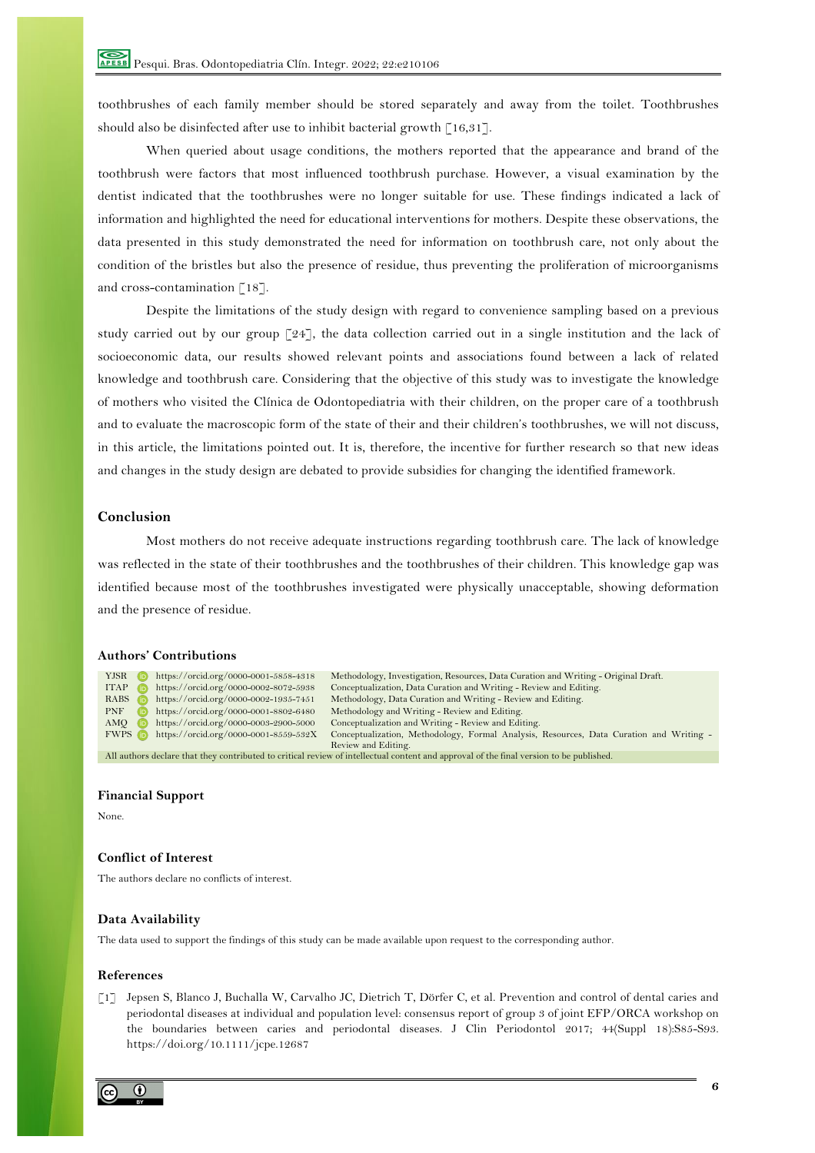toothbrushes of each family member should be stored separately and away from the toilet. Toothbrushes should also be disinfected after use to inhibit bacterial growth [16,31].

When queried about usage conditions, the mothers reported that the appearance and brand of the toothbrush were factors that most influenced toothbrush purchase. However, a visual examination by the dentist indicated that the toothbrushes were no longer suitable for use. These findings indicated a lack of information and highlighted the need for educational interventions for mothers. Despite these observations, the data presented in this study demonstrated the need for information on toothbrush care, not only about the condition of the bristles but also the presence of residue, thus preventing the proliferation of microorganisms and cross-contamination [18].

Despite the limitations of the study design with regard to convenience sampling based on a previous study carried out by our group  $\lceil 24 \rceil$ , the data collection carried out in a single institution and the lack of socioeconomic data, our results showed relevant points and associations found between a lack of related knowledge and toothbrush care. Considering that the objective of this study was to investigate the knowledge of mothers who visited the Clínica de Odontopediatria with their children, on the proper care of a toothbrush and to evaluate the macroscopic form of the state of their and their children's toothbrushes, we will not discuss, in this article, the limitations pointed out. It is, therefore, the incentive for further research so that new ideas and changes in the study design are debated to provide subsidies for changing the identified framework.

## **Conclusion**

Most mothers do not receive adequate instructions regarding toothbrush care. The lack of knowledge was reflected in the state of their toothbrushes and the toothbrushes of their children. This knowledge gap was identified because most of the toothbrushes investigated were physically unacceptable, showing deformation and the presence of residue.

# **Authors' Contributions**

| YJSR                                                                                                                                    |            | https://orcid.org/0000-0001-5858-4318 | Methodology, Investigation, Resources, Data Curation and Writing - Original Draft.      |  |  |  |
|-----------------------------------------------------------------------------------------------------------------------------------------|------------|---------------------------------------|-----------------------------------------------------------------------------------------|--|--|--|
| <b>ITAP</b>                                                                                                                             | (ib)       | https://orcid.org/0000-0002-8072-5938 | Conceptualization, Data Curation and Writing - Review and Editing.                      |  |  |  |
| $RABS$ ( $\bar{D}$ )                                                                                                                    |            | https://orcid.org/0000-0002-1935-7451 | Methodology, Data Curation and Writing - Review and Editing.                            |  |  |  |
| <b>PNF</b>                                                                                                                              | <b>CID</b> | https://orcid.org/0000-0001-8802-6480 | Methodology and Writing - Review and Editing.                                           |  |  |  |
| $AMO$ ( $D$                                                                                                                             |            | https://orcid.org/0000-0003-2900-5000 | Conceptualization and Writing - Review and Editing.                                     |  |  |  |
| <b>FWPS D</b>                                                                                                                           |            | https://orcid.org/0000-0001-8559-532X | Conceptualization, Methodology, Formal Analysis, Resources, Data Curation and Writing - |  |  |  |
|                                                                                                                                         |            |                                       | Review and Editing.                                                                     |  |  |  |
| All authors declare that they contributed to critical review of intellectual content and approval of the final version to be published. |            |                                       |                                                                                         |  |  |  |

#### **Financial Support**

None.

#### **Conflict of Interest**

The authors declare no conflicts of interest.

## **Data Availability**

The data used to support the findings of this study can be made available upon request to the corresponding author.

#### **References**

[1] Jepsen S, Blanco J, Buchalla W, Carvalho JC, Dietrich T, Dörfer C, et al. Prevention and control of dental caries and periodontal diseases at individual and population level: consensus report of group 3 of joint EFP/ORCA workshop on the boundaries between caries and periodontal diseases. J Clin Periodontol 2017; 44(Suppl 18):S85-S93. https://doi.org/10.1111/jcpe.12687

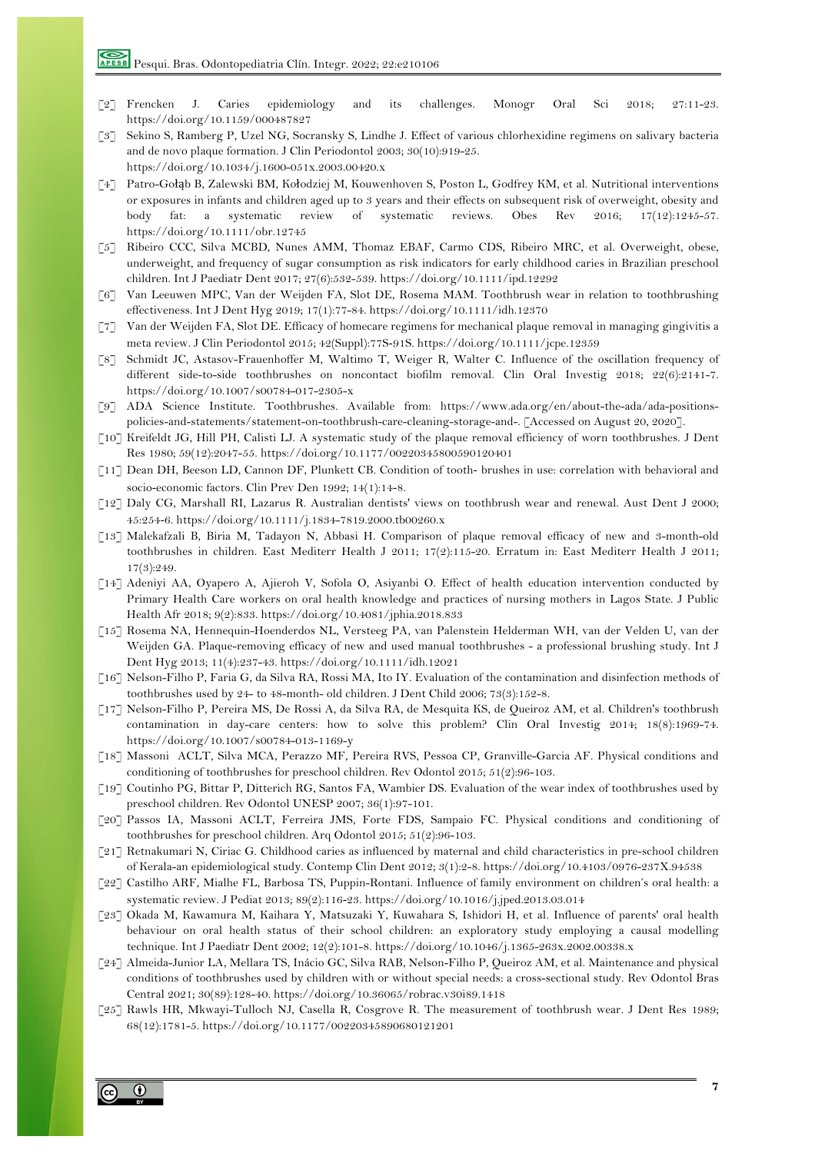- [2] Frencken J. Caries epidemiology and its challenges. Monogr Oral Sci 2018; 27:11-23. https://doi.org/10.1159/000487827
- [3] Sekino S, Ramberg P, Uzel NG, Socransky S, Lindhe J. Effect of various chlorhexidine regimens on salivary bacteria and de novo plaque formation. J Clin Periodontol 2003; 30(10):919-25. https://doi.org/10.1034/j.1600-051x.2003.00420.x
- [4] Patro-Gołąb B, Zalewski BM, Kołodziej M, Kouwenhoven S, Poston L, Godfrey KM, et al. Nutritional interventions or exposures in infants and children aged up to 3 years and their effects on subsequent risk of overweight, obesity and body fat: a systematic review of systematic reviews. Obes Rev 2016; 17(12):1245-57. https://doi.org/10.1111/obr.12745
- [5] Ribeiro CCC, Silva MCBD, Nunes AMM, Thomaz EBAF, Carmo CDS, Ribeiro MRC, et al. Overweight, obese, underweight, and frequency of sugar consumption as risk indicators for early childhood caries in Brazilian preschool children. Int J Paediatr Dent 2017; 27(6):532-539. https://doi.org/10.1111/ipd.12292
- [6] Van Leeuwen MPC, Van der Weijden FA, Slot DE, Rosema MAM. Toothbrush wear in relation to toothbrushing effectiveness. Int J Dent Hyg 2019; 17(1):77-84. https://doi.org/10.1111/idh.12370
- [7] Van der Weijden FA, Slot DE. Efficacy of homecare regimens for mechanical plaque removal in managing gingivitis a meta review. J Clin Periodontol 2015; 42(Suppl):77S-91S. https://doi.org/10.1111/jcpe.12359
- [8] Schmidt JC, Astasov-Frauenhoffer M, Waltimo T, Weiger R, Walter C. Influence of the oscillation frequency of different side-to-side toothbrushes on noncontact biofilm removal. Clin Oral Investig 2018; 22(6):2141-7. https://doi.org/10.1007/s00784-017-2305-x
- [9] ADA Science Institute. Toothbrushes. Available from: https://www.ada.org/en/about-the-ada/ada-positionspolicies-and-statements/statement-on-toothbrush-care-cleaning-storage-and-. [Accessed on August 20, 2020].
- [10] Kreifeldt JG, Hill PH, Calisti LJ. A systematic study of the plaque removal efficiency of worn toothbrushes. J Dent Res 1980; 59(12):2047-55. https://doi.org/10.1177/00220345800590120401
- [11] Dean DH, Beeson LD, Cannon DF, Plunkett CB. Condition of tooth- brushes in use: correlation with behavioral and socio-economic factors. Clin Prev Den 1992; 14(1):14-8.
- [12] Daly CG, Marshall RI, Lazarus R. Australian dentists' views on toothbrush wear and renewal. Aust Dent J 2000; 45:254-6. https://doi.org/10.1111/j.1834-7819.2000.tb00260.x
- [13] Malekafzali B, Biria M, Tadayon N, Abbasi H. Comparison of plaque removal efficacy of new and 3-month-old toothbrushes in children. East Mediterr Health J 2011; 17(2):115-20. Erratum in: East Mediterr Health J 2011; 17(3):249.
- [14] Adeniyi AA, Oyapero A, Ajieroh V, Sofola O, Asiyanbi O. Effect of health education intervention conducted by Primary Health Care workers on oral health knowledge and practices of nursing mothers in Lagos State. J Public Health Afr 2018; 9(2):833. https://doi.org/10.4081/jphia.2018.833
- [15] Rosema NA, Hennequin-Hoenderdos NL, Versteeg PA, van Palenstein Helderman WH, van der Velden U, van der Weijden GA. Plaque-removing efficacy of new and used manual toothbrushes - a professional brushing study. Int J Dent Hyg 2013; 11(4):237-43. https://doi.org/10.1111/idh.12021
- [16] Nelson-Filho P, Faria G, da Silva RA, Rossi MA, Ito IY. Evaluation of the contamination and disinfection methods of toothbrushes used by 24- to 48-month- old children. J Dent Child 2006; 73(3):152-8.
- [17] Nelson-Filho P, Pereira MS, De Rossi A, da Silva RA, de Mesquita KS, de Queiroz AM, et al. Children's toothbrush contamination in day-care centers: how to solve this problem? Clin Oral Investig 2014; 18(8):1969-74. https://doi.org/10.1007/s00784-013-1169-y
- [18] Massoni ACLT, Silva MCA, Perazzo MF, Pereira RVS, Pessoa CP, Granville-Garcia AF. Physical conditions and conditioning of toothbrushes for preschool children. Rev Odontol 2015; 51(2):96-103.
- [19] Coutinho PG, Bittar P, Ditterich RG, Santos FA, Wambier DS. Evaluation of the wear index of toothbrushes used by preschool children. Rev Odontol UNESP 2007; 36(1):97-101.
- [20] Passos IA, Massoni ACLT, Ferreira JMS, Forte FDS, Sampaio FC. Physical conditions and conditioning of toothbrushes for preschool children. Arq Odontol 2015; 51(2):96-103.
- [21] Retnakumari N, Ciriac G. Childhood caries as influenced by maternal and child characteristics in pre-school children of Kerala-an epidemiological study. Contemp Clin Dent 2012; 3(1):2-8. https://doi.org/10.4103/0976-237X.94538
- [22] Castilho ARF, Mialhe FL, Barbosa TS, Puppin-Rontani. Influence of family environment on children's oral health: a systematic review. J Pediat 2013; 89(2):116-23. https://doi.org/10.1016/j.jped.2013.03.014
- [23] Okada M, Kawamura M, Kaihara Y, Matsuzaki Y, Kuwahara S, Ishidori H, et al. Influence of parents' oral health behaviour on oral health status of their school children: an exploratory study employing a causal modelling technique. Int J Paediatr Dent 2002; 12(2):101-8. https://doi.org/10.1046/j.1365-263x.2002.00338.x
- [24] Almeida-Junior LA, Mellara TS, Inácio GC, Silva RAB, Nelson-Filho P, Queiroz AM, et al. Maintenance and physical conditions of toothbrushes used by children with or without special needs: a cross-sectional study. Rev Odontol Bras Central 2021; 30(89):128-40. https://doi.org/10.36065/robrac.v30i89.1418
- [25] Rawls HR, Mkwayi-Tulloch NJ, Casella R, Cosgrove R. The measurement of toothbrush wear. J Dent Res 1989; 68(12):1781-5. https://doi.org/10.1177/00220345890680121201